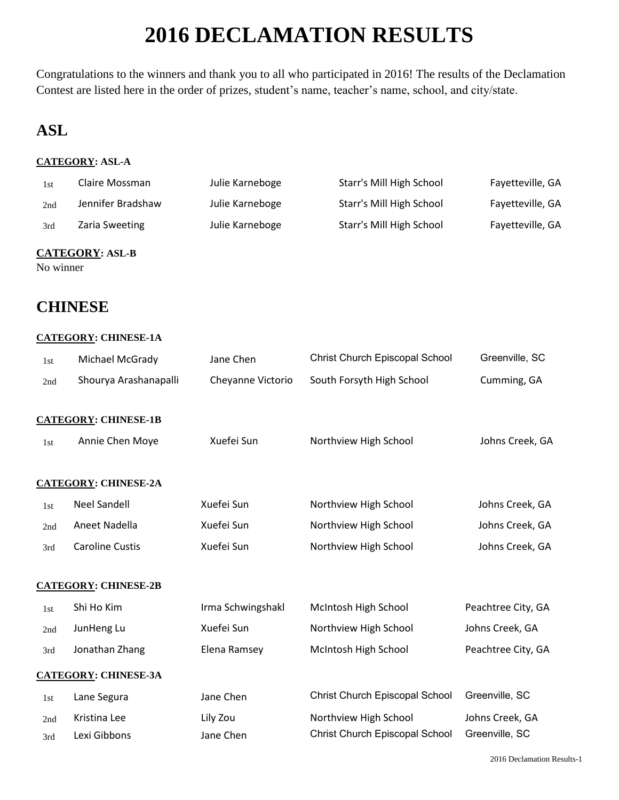# **2016 DECLAMATION RESULTS**

Congratulations to the winners and thank you to all who participated in 2016! The results of the Declamation Contest are listed here in the order of prizes, student's name, teacher's name, school, and city/state.

## **ASL**

## **CATEGORY: ASL-A**

| 1st | Claire Mossman    | Julie Karneboge | Starr's Mill High School | Fayetteville, GA |
|-----|-------------------|-----------------|--------------------------|------------------|
| 2nd | Jennifer Bradshaw | Julie Karneboge | Starr's Mill High School | Fayetteville, GA |
| 3rd | Zaria Sweeting    | Julie Karneboge | Starr's Mill High School | Fayetteville, GA |
|     |                   |                 |                          |                  |

## **CATEGORY: ASL-B**

No winner

## **CHINESE**

### **CATEGORY: CHINESE-1A**

| 1st        | Michael McGrady              | Jane Chen             | Christ Church Episcopal School                          | Greenville, SC                    |
|------------|------------------------------|-----------------------|---------------------------------------------------------|-----------------------------------|
| 2nd        | Shourya Arashanapalli        | Cheyanne Victorio     | South Forsyth High School                               | Cumming, GA                       |
|            | <b>CATEGORY: CHINESE-1B</b>  |                       |                                                         |                                   |
| 1st        | Annie Chen Moye              | Xuefei Sun            | Northview High School                                   | Johns Creek, GA                   |
|            | <b>CATEGORY: CHINESE-2A</b>  |                       |                                                         |                                   |
| 1st        | <b>Neel Sandell</b>          | Xuefei Sun            | Northview High School                                   | Johns Creek, GA                   |
| 2nd        | Aneet Nadella                | Xuefei Sun            | Northview High School                                   | Johns Creek, GA                   |
| 3rd        | <b>Caroline Custis</b>       | Xuefei Sun            | Northview High School                                   | Johns Creek, GA                   |
|            | <b>CATEGORY: CHINESE-2B</b>  |                       |                                                         |                                   |
| 1st        | Shi Ho Kim                   | Irma Schwingshakl     | McIntosh High School                                    | Peachtree City, GA                |
| 2nd        | JunHeng Lu                   | Xuefei Sun            | Northview High School                                   | Johns Creek, GA                   |
| 3rd        | Jonathan Zhang               | Elena Ramsey          | McIntosh High School                                    | Peachtree City, GA                |
|            | <b>CATEGORY: CHINESE-3A</b>  |                       |                                                         |                                   |
| 1st        | Lane Segura                  | Jane Chen             | Christ Church Episcopal School                          | Greenville, SC                    |
| 2nd<br>3rd | Kristina Lee<br>Lexi Gibbons | Lily Zou<br>Jane Chen | Northview High School<br>Christ Church Episcopal School | Johns Creek, GA<br>Greenville, SC |
|            |                              |                       |                                                         |                                   |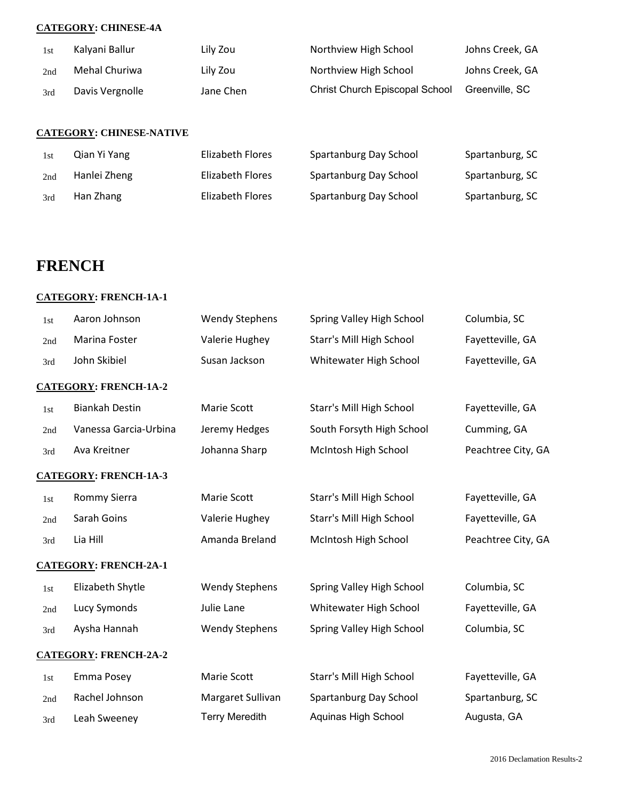### **CATEGORY: CHINESE-4A**

| 1st | Kalyani Ballur  | Lily Zou  | Northview High School                 | Johns Creek, GA |
|-----|-----------------|-----------|---------------------------------------|-----------------|
| 2nd | Mehal Churiwa   | Lily Zou  | Northview High School                 | Johns Creek, GA |
| 3rd | Davis Vergnolle | Jane Chen | <b>Christ Church Episcopal School</b> | Greenville, SC  |

### **CATEGORY: CHINESE-NATIVE**

| 1st | Qian Yi Yang | Elizabeth Flores | Spartanburg Day School | Spartanburg, SC |
|-----|--------------|------------------|------------------------|-----------------|
| 2nd | Hanlei Zheng | Elizabeth Flores | Spartanburg Day School | Spartanburg, SC |
| 3rd | Han Zhang    | Elizabeth Flores | Spartanburg Day School | Spartanburg, SC |

## **FRENCH**

### **CATEGORY: FRENCH-1A-1**

| 1st | Aaron Johnson                | <b>Wendy Stephens</b> | Spring Valley High School | Columbia, SC       |
|-----|------------------------------|-----------------------|---------------------------|--------------------|
| 2nd | Marina Foster                | Valerie Hughey        | Starr's Mill High School  | Fayetteville, GA   |
| 3rd | John Skibiel                 | Susan Jackson         | Whitewater High School    | Fayetteville, GA   |
|     | <b>CATEGORY: FRENCH-1A-2</b> |                       |                           |                    |
| 1st | <b>Biankah Destin</b>        | Marie Scott           | Starr's Mill High School  | Fayetteville, GA   |
| 2nd | Vanessa Garcia-Urbina        | Jeremy Hedges         | South Forsyth High School | Cumming, GA        |
| 3rd | Ava Kreitner                 | Johanna Sharp         | McIntosh High School      | Peachtree City, GA |
|     | <b>CATEGORY: FRENCH-1A-3</b> |                       |                           |                    |
| 1st | Rommy Sierra                 | Marie Scott           | Starr's Mill High School  | Fayetteville, GA   |
| 2nd | Sarah Goins                  | Valerie Hughey        | Starr's Mill High School  | Fayetteville, GA   |
| 3rd | Lia Hill                     | Amanda Breland        | McIntosh High School      | Peachtree City, GA |
|     | <b>CATEGORY: FRENCH-2A-1</b> |                       |                           |                    |
| 1st | Elizabeth Shytle             | <b>Wendy Stephens</b> | Spring Valley High School | Columbia, SC       |
| 2nd | Lucy Symonds                 | Julie Lane            | Whitewater High School    | Fayetteville, GA   |
| 3rd | Aysha Hannah                 | <b>Wendy Stephens</b> | Spring Valley High School | Columbia, SC       |
|     | <b>CATEGORY: FRENCH-2A-2</b> |                       |                           |                    |
| 1st | Emma Posey                   | Marie Scott           | Starr's Mill High School  | Fayetteville, GA   |
| 2nd | Rachel Johnson               | Margaret Sullivan     | Spartanburg Day School    | Spartanburg, SC    |
| 3rd | Leah Sweeney                 | <b>Terry Meredith</b> | Aquinas High School       | Augusta, GA        |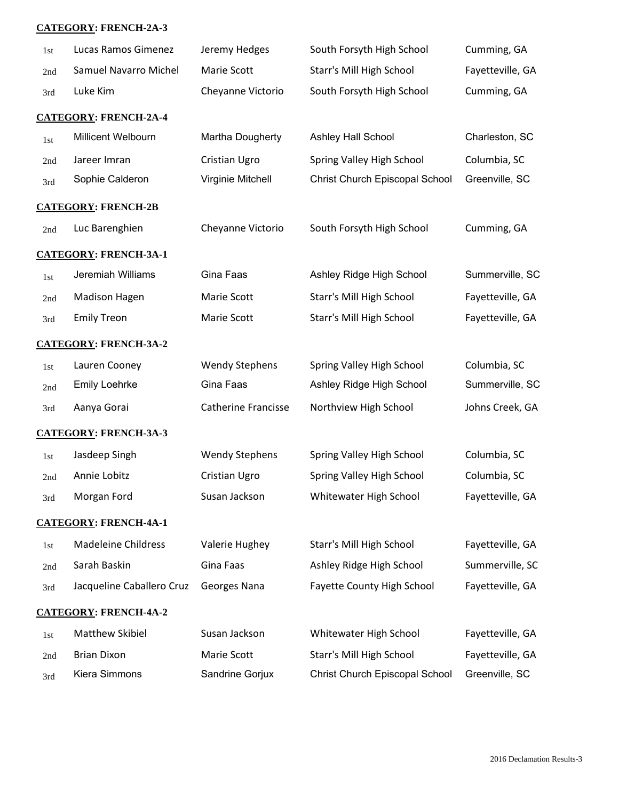### **CATEGORY: FRENCH-2A-3**

| 1st | Lucas Ramos Gimenez          | Jeremy Hedges              | South Forsyth High School         | Cumming, GA      |
|-----|------------------------------|----------------------------|-----------------------------------|------------------|
| 2nd | Samuel Navarro Michel        | Marie Scott                | Starr's Mill High School          | Fayetteville, GA |
| 3rd | Luke Kim                     | Cheyanne Victorio          | South Forsyth High School         | Cumming, GA      |
|     | <b>CATEGORY: FRENCH-2A-4</b> |                            |                                   |                  |
| 1st | Millicent Welbourn           | Martha Dougherty           | Ashley Hall School                | Charleston, SC   |
| 2nd | Jareer Imran                 | Cristian Ugro              | Spring Valley High School         | Columbia, SC     |
| 3rd | Sophie Calderon              | Virginie Mitchell          | Christ Church Episcopal School    | Greenville, SC   |
|     | <b>CATEGORY: FRENCH-2B</b>   |                            |                                   |                  |
| 2nd | Luc Barenghien               | Cheyanne Victorio          | South Forsyth High School         | Cumming, GA      |
|     | <b>CATEGORY: FRENCH-3A-1</b> |                            |                                   |                  |
| 1st | Jeremiah Williams            | Gina Faas                  | Ashley Ridge High School          | Summerville, SC  |
| 2nd | <b>Madison Hagen</b>         | Marie Scott                | Starr's Mill High School          | Fayetteville, GA |
| 3rd | <b>Emily Treon</b>           | Marie Scott                | Starr's Mill High School          | Fayetteville, GA |
|     | <b>CATEGORY: FRENCH-3A-2</b> |                            |                                   |                  |
| 1st | Lauren Cooney                | <b>Wendy Stephens</b>      | Spring Valley High School         | Columbia, SC     |
| 2nd | <b>Emily Loehrke</b>         | Gina Faas                  | Ashley Ridge High School          | Summerville, SC  |
| 3rd | Aanya Gorai                  | <b>Catherine Francisse</b> | Northview High School             | Johns Creek, GA  |
|     | <b>CATEGORY: FRENCH-3A-3</b> |                            |                                   |                  |
| 1st | Jasdeep Singh                | <b>Wendy Stephens</b>      | Spring Valley High School         | Columbia, SC     |
| 2nd | Annie Lobitz                 | <b>Cristian Ugro</b>       | Spring Valley High School         | Columbia, SC     |
| 3rd | Morgan Ford                  | Susan Jackson              | Whitewater High School            | Fayetteville, GA |
|     | <b>CATEGORY: FRENCH-4A-1</b> |                            |                                   |                  |
| 1st | <b>Madeleine Childress</b>   | Valerie Hughey             | Starr's Mill High School          | Fayetteville, GA |
| 2nd | Sarah Baskin                 | Gina Faas                  | Ashley Ridge High School          | Summerville, SC  |
| 3rd | Jacqueline Caballero Cruz    | Georges Nana               | <b>Fayette County High School</b> | Fayetteville, GA |
|     | <b>CATEGORY: FRENCH-4A-2</b> |                            |                                   |                  |
| 1st | Matthew Skibiel              | Susan Jackson              | Whitewater High School            | Fayetteville, GA |
| 2nd | <b>Brian Dixon</b>           | Marie Scott                | Starr's Mill High School          | Fayetteville, GA |
| 3rd | Kiera Simmons                | Sandrine Gorjux            | Christ Church Episcopal School    | Greenville, SC   |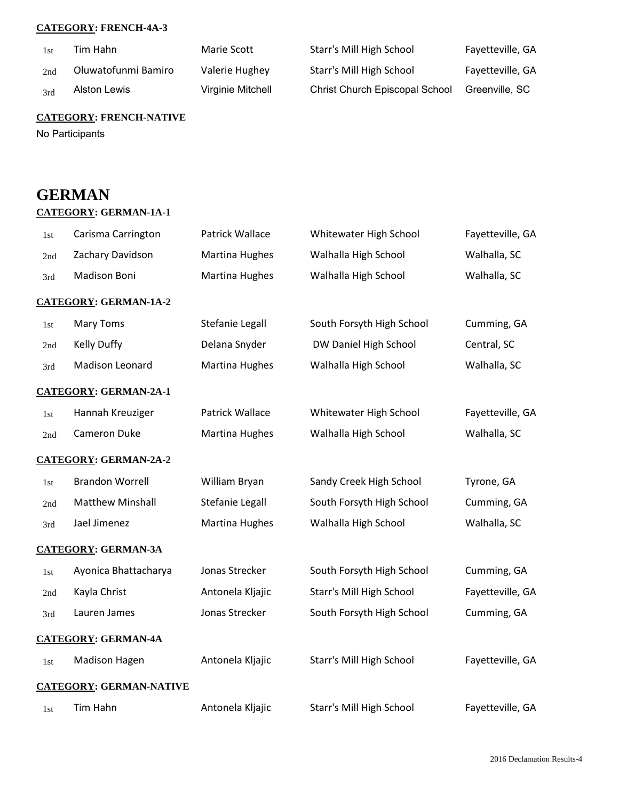### **CATEGORY: FRENCH-4A-3**

| 1st | Tim Hahn            | Marie Scott       | Starr's Mill High School              | Fayetteville, GA |
|-----|---------------------|-------------------|---------------------------------------|------------------|
| 2nd | Oluwatofunmi Bamiro | Valerie Hughey    | Starr's Mill High School              | Fayetteville, GA |
| 3rd | Alston Lewis        | Virginie Mitchell | <b>Christ Church Episcopal School</b> | Greenville, SC   |

## **CATEGORY: FRENCH-NATIVE**

No Participants

## **GERMAN**

## **CATEGORY: GERMAN-1A-1**

| 1st   | Carisma Carrington             | Patrick Wallace       | Whitewater High School    | Fayetteville, GA |
|-------|--------------------------------|-----------------------|---------------------------|------------------|
| 2nd   | Zachary Davidson               | Martina Hughes        | Walhalla High School      | Walhalla, SC     |
| 3rd   | <b>Madison Boni</b>            | <b>Martina Hughes</b> | Walhalla High School      | Walhalla, SC     |
|       | <b>CATEGORY: GERMAN-1A-2</b>   |                       |                           |                  |
| 1st   | <b>Mary Toms</b>               | Stefanie Legall       | South Forsyth High School | Cumming, GA      |
| 2nd   | <b>Kelly Duffy</b>             | Delana Snyder         | DW Daniel High School     | Central, SC      |
| 3rd   | Madison Leonard                | <b>Martina Hughes</b> | Walhalla High School      | Walhalla, SC     |
|       | <b>CATEGORY: GERMAN-2A-1</b>   |                       |                           |                  |
| 1st   | Hannah Kreuziger               | Patrick Wallace       | Whitewater High School    | Fayetteville, GA |
| 2nd   | <b>Cameron Duke</b>            | <b>Martina Hughes</b> | Walhalla High School      | Walhalla, SC     |
|       | <b>CATEGORY: GERMAN-2A-2</b>   |                       |                           |                  |
| 1st   | <b>Brandon Worrell</b>         | William Bryan         | Sandy Creek High School   | Tyrone, GA       |
| 2nd   | <b>Matthew Minshall</b>        | Stefanie Legall       | South Forsyth High School | Cumming, GA      |
| 3rd   | Jael Jimenez                   | Martina Hughes        | Walhalla High School      | Walhalla, SC     |
|       | <b>CATEGORY: GERMAN-3A</b>     |                       |                           |                  |
| 1st   | Ayonica Bhattacharya           | Jonas Strecker        | South Forsyth High School | Cumming, GA      |
| 2nd   | Kayla Christ                   | Antonela Kljajic      | Starr's Mill High School  | Fayetteville, GA |
| 3rd   | Lauren James                   | Jonas Strecker        | South Forsyth High School | Cumming, GA      |
|       | <b>CATEGORY: GERMAN-4A</b>     |                       |                           |                  |
| 1st   | <b>Madison Hagen</b>           | Antonela Kljajic      | Starr's Mill High School  | Fayetteville, GA |
|       | <b>CATEGORY: GERMAN-NATIVE</b> |                       |                           |                  |
| $1st$ | Tim Hahn                       | Antonela Kljajic      | Starr's Mill High School  | Fayetteville, GA |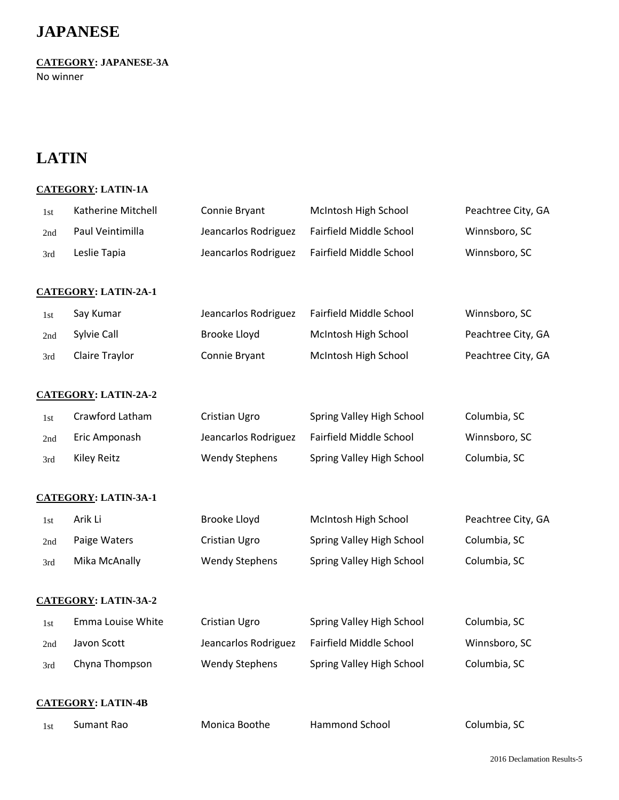## **JAPANESE**

**CATEGORY: JAPANESE-3A**

No winner

## **LATIN**

## **CATEGORY: LATIN-1A**

| 1st | Katherine Mitchell          | Connie Bryant         | McIntosh High School      | Peachtree City, GA |
|-----|-----------------------------|-----------------------|---------------------------|--------------------|
| 2nd | Paul Veintimilla            | Jeancarlos Rodriguez  | Fairfield Middle School   | Winnsboro, SC      |
| 3rd | Leslie Tapia                | Jeancarlos Rodriguez  | Fairfield Middle School   | Winnsboro, SC      |
|     |                             |                       |                           |                    |
|     | <b>CATEGORY: LATIN-2A-1</b> |                       |                           |                    |
| 1st | Say Kumar                   | Jeancarlos Rodriguez  | Fairfield Middle School   | Winnsboro, SC      |
| 2nd | Sylvie Call                 | Brooke Lloyd          | McIntosh High School      | Peachtree City, GA |
| 3rd | Claire Traylor              | Connie Bryant         | McIntosh High School      | Peachtree City, GA |
|     | <b>CATEGORY: LATIN-2A-2</b> |                       |                           |                    |
| 1st | Crawford Latham             | Cristian Ugro         | Spring Valley High School | Columbia, SC       |
| 2nd | Eric Amponash               | Jeancarlos Rodriguez  | Fairfield Middle School   | Winnsboro, SC      |
| 3rd | <b>Kiley Reitz</b>          | <b>Wendy Stephens</b> | Spring Valley High School | Columbia, SC       |
|     | <b>CATEGORY: LATIN-3A-1</b> |                       |                           |                    |
| 1st | Arik Li                     | Brooke Lloyd          | McIntosh High School      | Peachtree City, GA |
| 2nd | Paige Waters                | Cristian Ugro         | Spring Valley High School | Columbia, SC       |
| 3rd | Mika McAnally               | <b>Wendy Stephens</b> | Spring Valley High School | Columbia, SC       |
|     | <b>CATEGORY: LATIN-3A-2</b> |                       |                           |                    |
| 1st | Emma Louise White           | Cristian Ugro         | Spring Valley High School | Columbia, SC       |
| 2nd | Javon Scott                 | Jeancarlos Rodriguez  | Fairfield Middle School   | Winnsboro, SC      |
| 3rd | Chyna Thompson              | <b>Wendy Stephens</b> | Spring Valley High School | Columbia, SC       |
|     | <b>CATEGORY: LATIN-4B</b>   |                       |                           |                    |
| 1st | Sumant Rao                  | Monica Boothe         | Hammond School            | Columbia, SC       |
|     |                             |                       |                           |                    |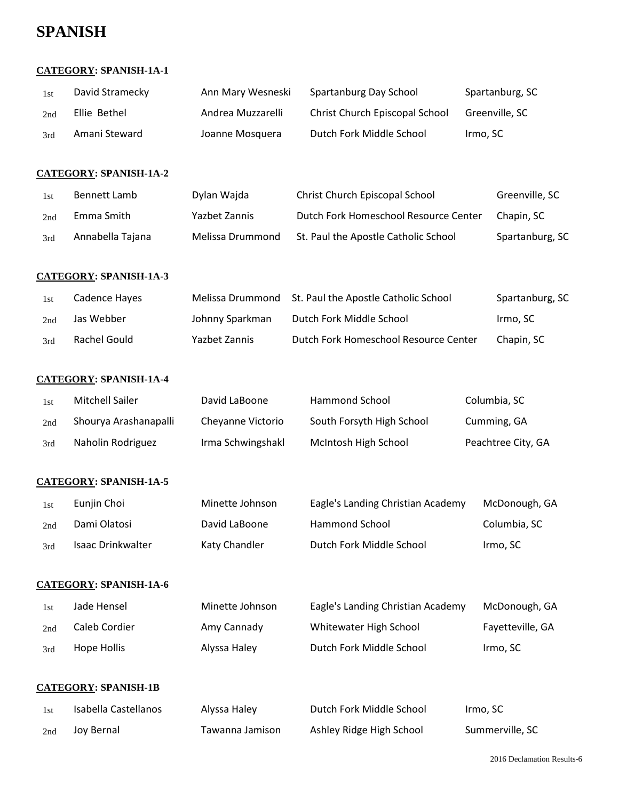## **SPANISH**

### **CATEGORY: SPANISH-1A-1**

| 1st | David Stramecky | Ann Mary Wesneski | Spartanburg Day School         | Spartanburg, SC |
|-----|-----------------|-------------------|--------------------------------|-----------------|
| 2nd | Ellie Bethel    | Andrea Muzzarelli | Christ Church Episcopal School | Greenville, SC  |
| 3rd | Amani Steward   | Joanne Mosquera   | Dutch Fork Middle School       | Irmo, SC        |

### **CATEGORY: SPANISH-1A-2**

| 1st | Bennett Lamb     | Dylan Wajda      | Christ Church Episcopal School        | Greenville, SC  |
|-----|------------------|------------------|---------------------------------------|-----------------|
| 2nd | Emma Smith       | Yazbet Zannis    | Dutch Fork Homeschool Resource Center | Chapin, SC      |
| 3rd | Annabella Tajana | Melissa Drummond | St. Paul the Apostle Catholic School  | Spartanburg, SC |

### **CATEGORY: SPANISH-1A-3**

| 1st | Cadence Hayes |                 | Melissa Drummond St. Paul the Apostle Catholic School | Spartanburg, SC |
|-----|---------------|-----------------|-------------------------------------------------------|-----------------|
| 2nd | Jas Webber    | Johnny Sparkman | Dutch Fork Middle School                              | Irmo, SC        |
| 3rd | Rachel Gould  | Yazbet Zannis   | Dutch Fork Homeschool Resource Center                 | Chapin. SC      |

### **CATEGORY: SPANISH-1A-4**

| 1st | <b>Mitchell Sailer</b> | David LaBoone     | Hammond School            | Columbia, SC       |
|-----|------------------------|-------------------|---------------------------|--------------------|
| 2nd | Shourya Arashanapalli  | Cheyanne Victorio | South Forsyth High School | Cumming, GA        |
| 3rd | Naholin Rodriguez      | Irma Schwingshakl | McIntosh High School      | Peachtree City, GA |

#### **CATEGORY: SPANISH-1A-5**

| 1st | Eunjin Choi       | Minette Johnson | Eagle's Landing Christian Academy | McDonough, GA |
|-----|-------------------|-----------------|-----------------------------------|---------------|
| 2nd | Dami Olatosi      | David LaBoone   | Hammond School                    | Columbia, SC  |
| 3rd | Isaac Drinkwalter | Katy Chandler   | Dutch Fork Middle School          | Irmo, SC      |

### **CATEGORY: SPANISH-1A-6**

| 1st | Jade Hensel   | Minette Johnson | Eagle's Landing Christian Academy | McDonough, GA    |
|-----|---------------|-----------------|-----------------------------------|------------------|
| 2nd | Caleb Cordier | Amy Cannady     | Whitewater High School            | Fayetteville, GA |
| 3rd | Hope Hollis   | Alyssa Haley    | Dutch Fork Middle School          | Irmo, SC         |

#### **CATEGORY: SPANISH-1B**

| 1st | Isabella Castellanos | Alyssa Haley    | Dutch Fork Middle School | Irmo, SC        |
|-----|----------------------|-----------------|--------------------------|-----------------|
| 2nd | Joy Bernal           | Tawanna Jamison | Ashley Ridge High School | Summerville, SC |

2016 Declamation Results-6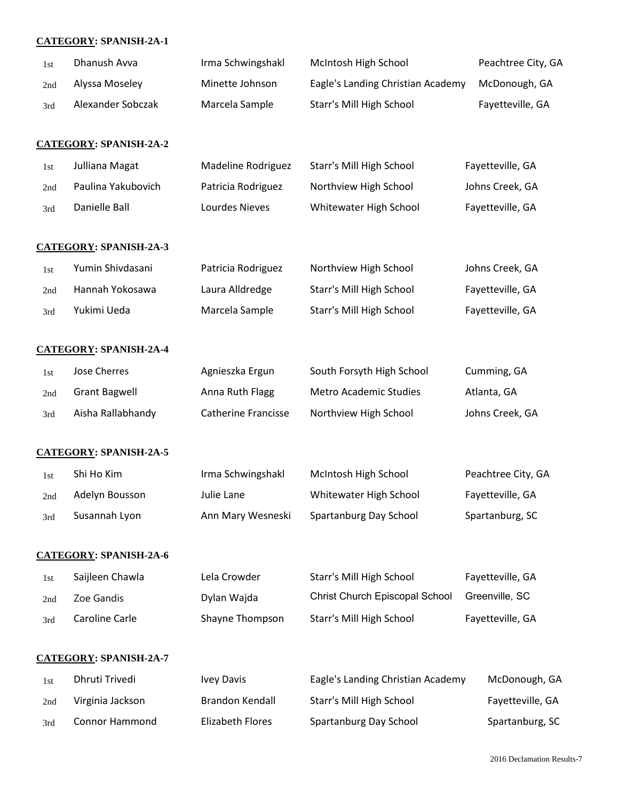### **CATEGORY: SPANISH-2A-1**

| 1st | Dhanush Avva                  | Irma Schwingshakl          | McIntosh High School              | Peachtree City, GA |
|-----|-------------------------------|----------------------------|-----------------------------------|--------------------|
| 2nd | Alyssa Moseley                | Minette Johnson            | Eagle's Landing Christian Academy | McDonough, GA      |
| 3rd | Alexander Sobczak             | Marcela Sample             | Starr's Mill High School          | Fayetteville, GA   |
|     | <b>CATEGORY: SPANISH-2A-2</b> |                            |                                   |                    |
| 1st | Julliana Magat                | Madeline Rodriguez         | Starr's Mill High School          | Fayetteville, GA   |
| 2nd | Paulina Yakubovich            | Patricia Rodriguez         | Northview High School             | Johns Creek, GA    |
| 3rd | Danielle Ball                 | Lourdes Nieves             | Whitewater High School            | Fayetteville, GA   |
|     | <b>CATEGORY: SPANISH-2A-3</b> |                            |                                   |                    |
| 1st | Yumin Shivdasani              | Patricia Rodriguez         | Northview High School             | Johns Creek, GA    |
| 2nd | Hannah Yokosawa               | Laura Alldredge            | Starr's Mill High School          | Fayetteville, GA   |
| 3rd | Yukimi Ueda                   | Marcela Sample             | Starr's Mill High School          | Fayetteville, GA   |
|     | <b>CATEGORY: SPANISH-2A-4</b> |                            |                                   |                    |
| 1st | Jose Cherres                  | Agnieszka Ergun            | South Forsyth High School         | Cumming, GA        |
| 2nd | <b>Grant Bagwell</b>          | Anna Ruth Flagg            | Metro Academic Studies            | Atlanta, GA        |
| 3rd | Aisha Rallabhandy             | <b>Catherine Francisse</b> | Northview High School             | Johns Creek, GA    |
|     | <b>CATEGORY: SPANISH-2A-5</b> |                            |                                   |                    |
| 1st | Shi Ho Kim                    | Irma Schwingshakl          | McIntosh High School              | Peachtree City, GA |
| 2nd | Adelyn Bousson                | Julie Lane                 | Whitewater High School            | Fayetteville, GA   |
| 3rd | Susannah Lyon                 | Ann Mary Wesneski          | Spartanburg Day School            | Spartanburg, SC    |
|     | <b>CATEGORY: SPANISH-2A-6</b> |                            |                                   |                    |
| 1st | Saijleen Chawla               | Lela Crowder               | Starr's Mill High School          | Fayetteville, GA   |
| 2nd | Zoe Gandis                    | Dylan Wajda                | Christ Church Episcopal School    | Greenville, SC     |
| 3rd | Caroline Carle                | Shayne Thompson            | Starr's Mill High School          | Fayetteville, GA   |
|     | <b>CATEGORY: SPANISH-2A-7</b> |                            |                                   |                    |
| 1st | Dhruti Trivedi                | <b>Ivey Davis</b>          | Eagle's Landing Christian Academy | McDonough, GA      |
| 2nd | Virginia Jackson              | <b>Brandon Kendall</b>     | Starr's Mill High School          | Fayetteville, GA   |
| 3rd | Connor Hammond                | <b>Elizabeth Flores</b>    | Spartanburg Day School            | Spartanburg, SC    |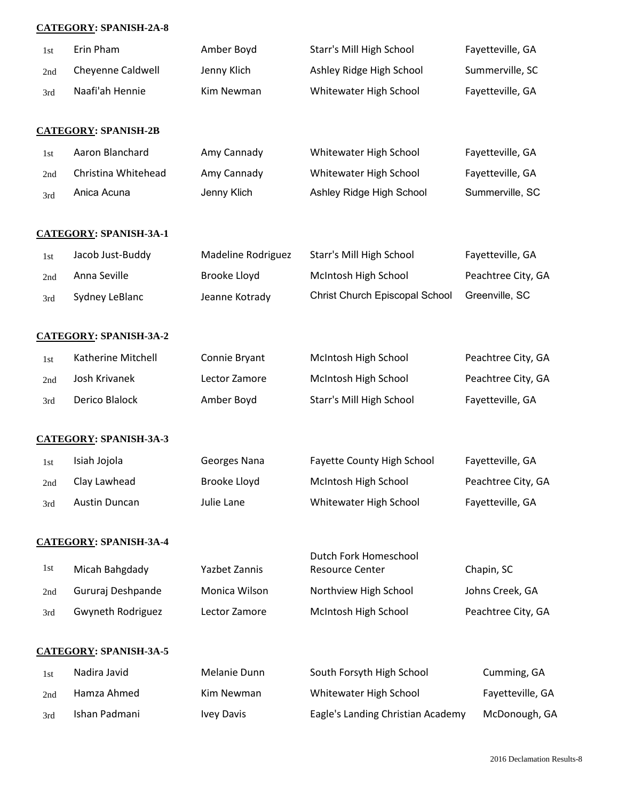## **CATEGORY: SPANISH-2A-8**

| 1st | Erin Pham                     | Amber Boyd           | Starr's Mill High School                        | Fayetteville, GA   |
|-----|-------------------------------|----------------------|-------------------------------------------------|--------------------|
| 2nd | Cheyenne Caldwell             | Jenny Klich          | Ashley Ridge High School                        | Summerville, SC    |
| 3rd | Naafi'ah Hennie               | Kim Newman           | Whitewater High School                          | Fayetteville, GA   |
|     |                               |                      |                                                 |                    |
|     | <b>CATEGORY: SPANISH-2B</b>   |                      |                                                 |                    |
| 1st | Aaron Blanchard               | Amy Cannady          | Whitewater High School                          | Fayetteville, GA   |
| 2nd | Christina Whitehead           | Amy Cannady          | Whitewater High School                          | Fayetteville, GA   |
| 3rd | Anica Acuna                   | Jenny Klich          | Ashley Ridge High School                        | Summerville, SC    |
|     | <b>CATEGORY: SPANISH-3A-1</b> |                      |                                                 |                    |
| 1st | Jacob Just-Buddy              | Madeline Rodriguez   | Starr's Mill High School                        | Fayetteville, GA   |
| 2nd | Anna Seville                  | <b>Brooke Lloyd</b>  | McIntosh High School                            | Peachtree City, GA |
| 3rd | Sydney LeBlanc                | Jeanne Kotrady       | Christ Church Episcopal School                  | Greenville, SC     |
|     | <b>CATEGORY: SPANISH-3A-2</b> |                      |                                                 |                    |
| 1st | Katherine Mitchell            | Connie Bryant        | McIntosh High School                            | Peachtree City, GA |
| 2nd | Josh Krivanek                 | Lector Zamore        | McIntosh High School                            | Peachtree City, GA |
| 3rd | Derico Blalock                | Amber Boyd           | Starr's Mill High School                        | Fayetteville, GA   |
|     | <b>CATEGORY: SPANISH-3A-3</b> |                      |                                                 |                    |
| 1st | Isiah Jojola                  | Georges Nana         | Fayette County High School                      | Fayetteville, GA   |
| 2nd | Clay Lawhead                  | <b>Brooke Lloyd</b>  | McIntosh High School                            | Peachtree City, GA |
| 3rd | <b>Austin Duncan</b>          | Julie Lane           | Whitewater High School                          | Fayetteville, GA   |
|     | <b>CATEGORY: SPANISH-3A-4</b> |                      |                                                 |                    |
| 1st | Micah Bahgdady                | <b>Yazbet Zannis</b> | Dutch Fork Homeschool<br><b>Resource Center</b> | Chapin, SC         |
| 2nd | Gururaj Deshpande             | Monica Wilson        | Northview High School                           | Johns Creek, GA    |
| 3rd | Gwyneth Rodriguez             | Lector Zamore        | McIntosh High School                            | Peachtree City, GA |
|     | <b>CATEGORY: SPANISH-3A-5</b> |                      |                                                 |                    |
| 1st | Nadira Javid                  | Melanie Dunn         | South Forsyth High School                       | Cumming, GA        |
| 2nd | Hamza Ahmed                   | Kim Newman           | Whitewater High School                          | Fayetteville, GA   |
| 3rd | Ishan Padmani                 | <b>Ivey Davis</b>    | Eagle's Landing Christian Academy               | McDonough, GA      |
|     |                               |                      |                                                 |                    |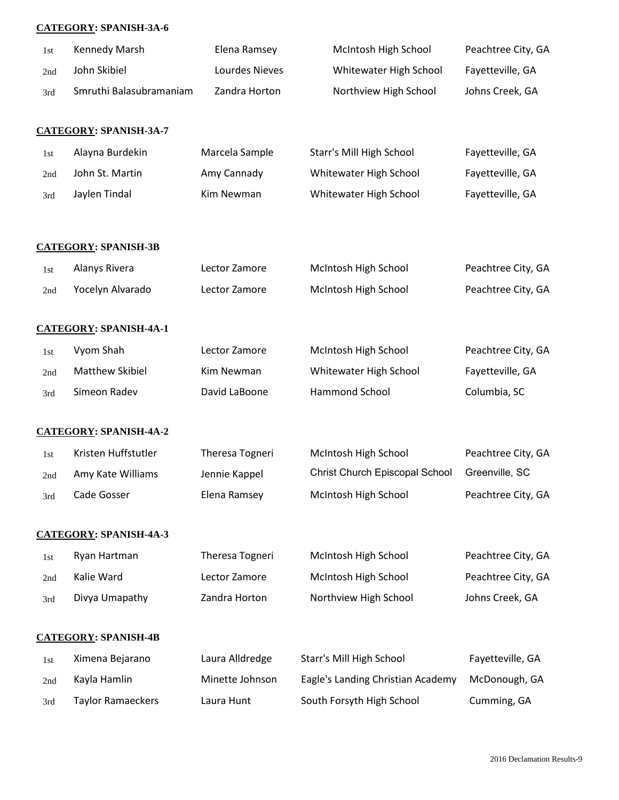### **CATEGORY: SPANISH-3A-6**

| 1st | Kennedy Marsh                 | Elena Ramsey    | McIntosh High School              | Peachtree City, GA |
|-----|-------------------------------|-----------------|-----------------------------------|--------------------|
| 2nd | John Skibiel                  | Lourdes Nieves  | Whitewater High School            | Fayetteville, GA   |
| 3rd | Smruthi Balasubramaniam       | Zandra Horton   | Northview High School             | Johns Creek, GA    |
|     |                               |                 |                                   |                    |
|     | <b>CATEGORY: SPANISH-3A-7</b> |                 |                                   |                    |
| 1st | Alayna Burdekin               | Marcela Sample  | Starr's Mill High School          | Fayetteville, GA   |
| 2nd | John St. Martin               | Amy Cannady     | Whitewater High School            | Fayetteville, GA   |
| 3rd | Jaylen Tindal                 | Kim Newman      | Whitewater High School            | Fayetteville, GA   |
|     | <b>CATEGORY: SPANISH-3B</b>   |                 |                                   |                    |
| 1st | Alanys Rivera                 | Lector Zamore   | McIntosh High School              | Peachtree City, GA |
| 2nd | Yocelyn Alvarado              | Lector Zamore   | McIntosh High School              | Peachtree City, GA |
|     | <b>CATEGORY: SPANISH-4A-1</b> |                 |                                   |                    |
| 1st | Vyom Shah                     | Lector Zamore   | McIntosh High School              | Peachtree City, GA |
| 2nd | Matthew Skibiel               | Kim Newman      | Whitewater High School            | Fayetteville, GA   |
| 3rd | Simeon Radev                  | David LaBoone   | Hammond School                    | Columbia, SC       |
|     | <b>CATEGORY: SPANISH-4A-2</b> |                 |                                   |                    |
| 1st | Kristen Huffstutler           | Theresa Togneri | McIntosh High School              | Peachtree City, GA |
| 2nd | Amy Kate Williams             | Jennie Kappel   | Christ Church Episcopal School    | Greenville, SC     |
| 3rd | Cade Gosser                   | Elena Ramsey    | McIntosh High School              | Peachtree City, GA |
|     | <b>CATEGORY: SPANISH-4A-3</b> |                 |                                   |                    |
| 1st | Ryan Hartman                  | Theresa Togneri | McIntosh High School              | Peachtree City, GA |
| 2nd | Kalie Ward                    | Lector Zamore   | McIntosh High School              | Peachtree City, GA |
| 3rd | Divya Umapathy                | Zandra Horton   | Northview High School             | Johns Creek, GA    |
|     | <b>CATEGORY: SPANISH-4B</b>   |                 |                                   |                    |
| 1st | Ximena Bejarano               | Laura Alldredge | Starr's Mill High School          | Fayetteville, GA   |
| 2nd | Kayla Hamlin                  | Minette Johnson | Eagle's Landing Christian Academy | McDonough, GA      |
| 3rd | <b>Taylor Ramaeckers</b>      | Laura Hunt      | South Forsyth High School         | Cumming, GA        |